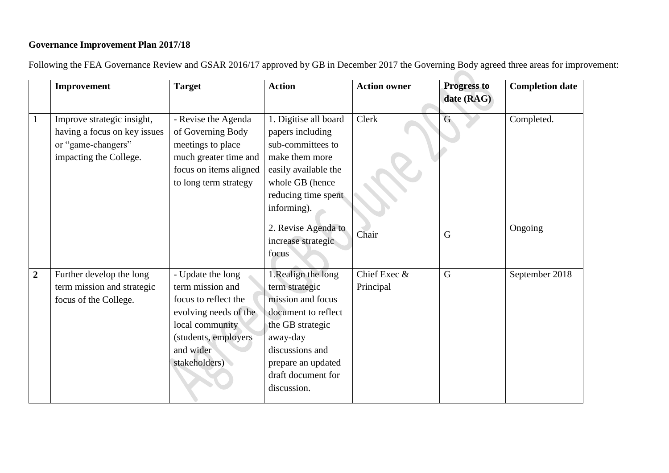## **Governance Improvement Plan 2017/18**

Following the FEA Governance Review and GSAR 2016/17 approved by GB in December 2017 the Governing Body agreed three areas for improvement:

|                | Improvement                                                                                                | <b>Target</b>                                                                                                                                                    | <b>Action</b>                                                                                                                                                                                  | <b>Action owner</b>       | <b>Progress to</b><br>date (RAG) | <b>Completion date</b> |
|----------------|------------------------------------------------------------------------------------------------------------|------------------------------------------------------------------------------------------------------------------------------------------------------------------|------------------------------------------------------------------------------------------------------------------------------------------------------------------------------------------------|---------------------------|----------------------------------|------------------------|
|                | Improve strategic insight,<br>having a focus on key issues<br>or "game-changers"<br>impacting the College. | - Revise the Agenda<br>of Governing Body<br>meetings to place<br>much greater time and<br>focus on items aligned<br>to long term strategy                        | 1. Digitise all board<br>papers including<br>sub-committees to<br>make them more<br>easily available the<br>whole GB (hence<br>reducing time spent<br>informing).                              | Clerk                     | G                                | Completed.             |
|                |                                                                                                            |                                                                                                                                                                  | 2. Revise Agenda to<br>increase strategic<br>focus                                                                                                                                             | Chair                     | G                                | Ongoing                |
| $\overline{2}$ | Further develop the long<br>term mission and strategic<br>focus of the College.                            | - Update the long<br>term mission and<br>focus to reflect the<br>evolving needs of the<br>local community<br>(students, employers)<br>and wider<br>stakeholders) | 1.Realign the long<br>term strategic<br>mission and focus<br>document to reflect<br>the GB strategic<br>away-day<br>discussions and<br>prepare an updated<br>draft document for<br>discussion. | Chief Exec &<br>Principal | G                                | September 2018         |